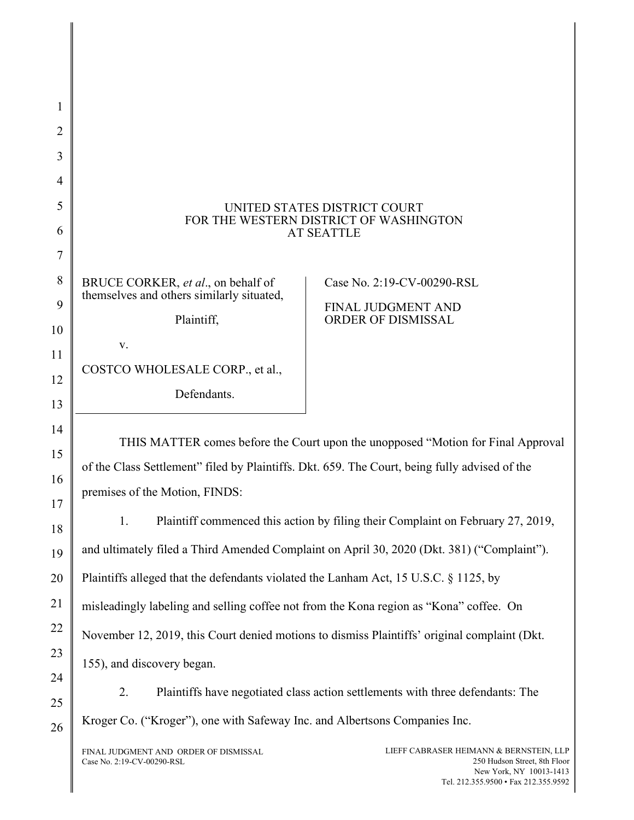## UNITED STATES DISTRICT COURT FOR THE WESTERN DISTRICT OF WASHINGTON AT SEATTLE

BRUCE CORKER, et al., on behalf of themselves and others similarly situated,

Plaintiff,

v.

1

2

3

4

5

6

7

8

 $\overline{Q}$ 

10

11

12

13

14

15

16

17

18

19

20

21

22

23

24

25

26

COSTCO WHOLESALE CORP., et al.,

Defendants.

Case No. 2:19-CV-00290-RSL

FINAL JUDGMENT AND ORDER OF DISMISSAL

THIS MATTER comes before the Court upon the unopposed "Motion for Final Approval of the Class Settlement" filed by Plaintiffs. Dkt. 659. The Court, being fully advised of the premises of the Motion, FINDS:

1. Plaintiff commenced this action by filing their Complaint on February 27, 2019, and ultimately filed a Third Amended Complaint on April 30, 2020 (Dkt. 381) ("Complaint"). Plaintiffs alleged that the defendants violated the Lanham Act, 15 U.S.C. § 1125, by misleadingly labeling and selling coffee not from the Kona region as "Kona" coffee. On November 12, 2019, this Court denied motions to dismiss Plaintiffs' original complaint (Dkt. 155), and discovery began.

2. Plaintiffs have negotiated class action settlements with three defendants: The Kroger Co. ("Kroger"), one with Safeway Inc. and Albertsons Companies Inc.

FINAL JUDGMENT AND ORDER OF DISMISSAL Case No. 2:19-CV-00290-RSL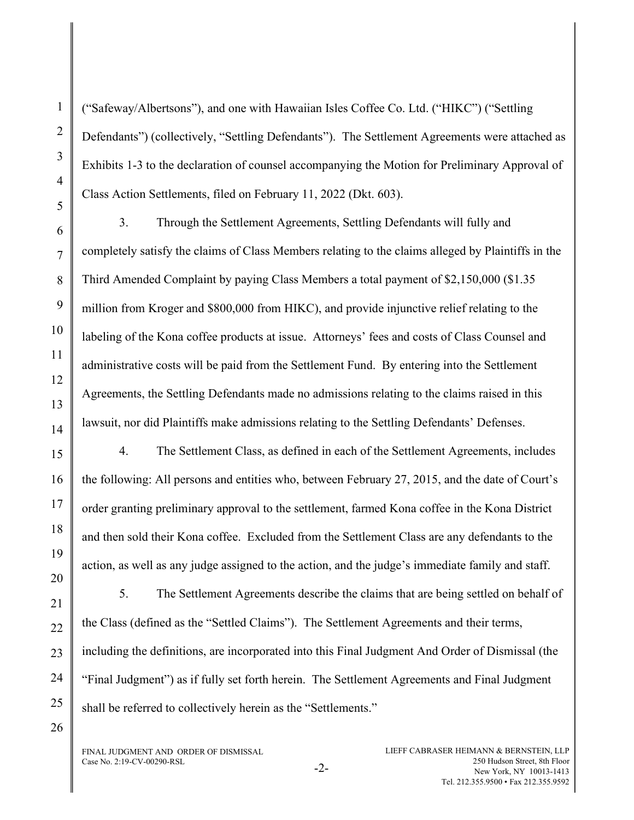("Safeway/Albertsons"), and one with Hawaiian Isles Coffee Co. Ltd. ("HIKC") ("Settling Defendants") (collectively, "Settling Defendants"). The Settlement Agreements were attached as Exhibits 1-3 to the declaration of counsel accompanying the Motion for Preliminary Approval of Class Action Settlements, filed on February 11, 2022 (Dkt. 603).

3. Through the Settlement Agreements, Settling Defendants will fully and completely satisfy the claims of Class Members relating to the claims alleged by Plaintiffs in the Third Amended Complaint by paying Class Members a total payment of \$2,150,000 (\$1.35 million from Kroger and \$800,000 from HIKC), and provide injunctive relief relating to the labeling of the Kona coffee products at issue. Attorneys' fees and costs of Class Counsel and administrative costs will be paid from the Settlement Fund. By entering into the Settlement Agreements, the Settling Defendants made no admissions relating to the claims raised in this lawsuit, nor did Plaintiffs make admissions relating to the Settling Defendants' Defenses.

4. The Settlement Class, as defined in each of the Settlement Agreements, includes the following: All persons and entities who, between February 27, 2015, and the date of Court's order granting preliminary approval to the settlement, farmed Kona coffee in the Kona District and then sold their Kona coffee. Excluded from the Settlement Class are any defendants to the action, as well as any judge assigned to the action, and the judge's immediate family and staff.

5. The Settlement Agreements describe the claims that are being settled on behalf of the Class (defined as the "Settled Claims"). The Settlement Agreements and their terms, including the definitions, are incorporated into this Final Judgment And Order of Dismissal (the "Final Judgment") as if fully set forth herein. The Settlement Agreements and Final Judgment shall be referred to collectively herein as the "Settlements."

FINAL JUDGMENT AND ORDER OF DISMISSAL Case No. 2:19-CV-00290-RSL -2-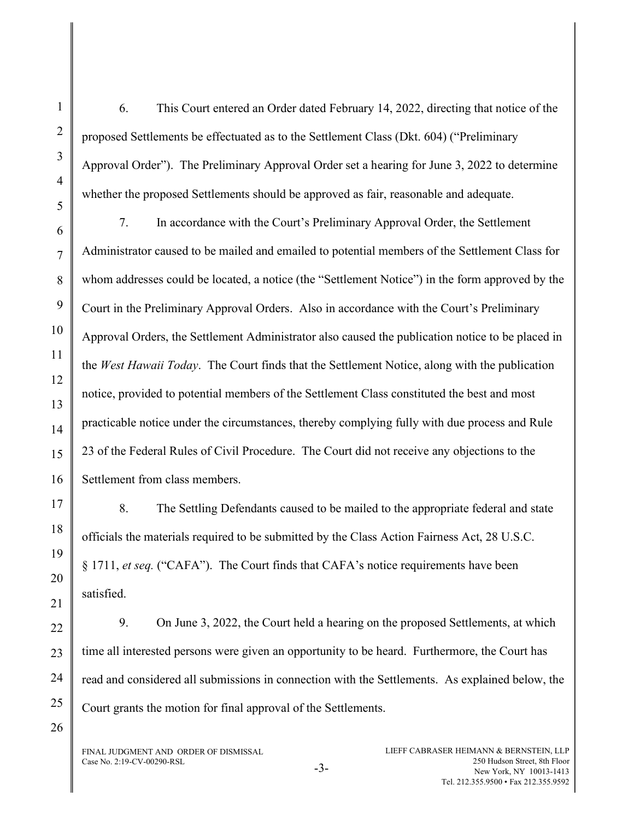6. This Court entered an Order dated February 14, 2022, directing that notice of the proposed Settlements be effectuated as to the Settlement Class (Dkt. 604) ("Preliminary Approval Order"). The Preliminary Approval Order set a hearing for June 3, 2022 to determine whether the proposed Settlements should be approved as fair, reasonable and adequate.

7. In accordance with the Court's Preliminary Approval Order, the Settlement Administrator caused to be mailed and emailed to potential members of the Settlement Class for whom addresses could be located, a notice (the "Settlement Notice") in the form approved by the Court in the Preliminary Approval Orders. Also in accordance with the Court's Preliminary Approval Orders, the Settlement Administrator also caused the publication notice to be placed in the West Hawaii Today. The Court finds that the Settlement Notice, along with the publication notice, provided to potential members of the Settlement Class constituted the best and most practicable notice under the circumstances, thereby complying fully with due process and Rule 23 of the Federal Rules of Civil Procedure. The Court did not receive any objections to the Settlement from class members.

8. The Settling Defendants caused to be mailed to the appropriate federal and state officials the materials required to be submitted by the Class Action Fairness Act, 28 U.S.C. § 1711, et seq. ("CAFA"). The Court finds that CAFA's notice requirements have been satisfied.

9. On June 3, 2022, the Court held a hearing on the proposed Settlements, at which time all interested persons were given an opportunity to be heard. Furthermore, the Court has read and considered all submissions in connection with the Settlements. As explained below, the Court grants the motion for final approval of the Settlements.

FINAL JUDGMENT AND ORDER OF DISMISSAL  $Case No. 2:19-CV-00290-RSL$   $-3-$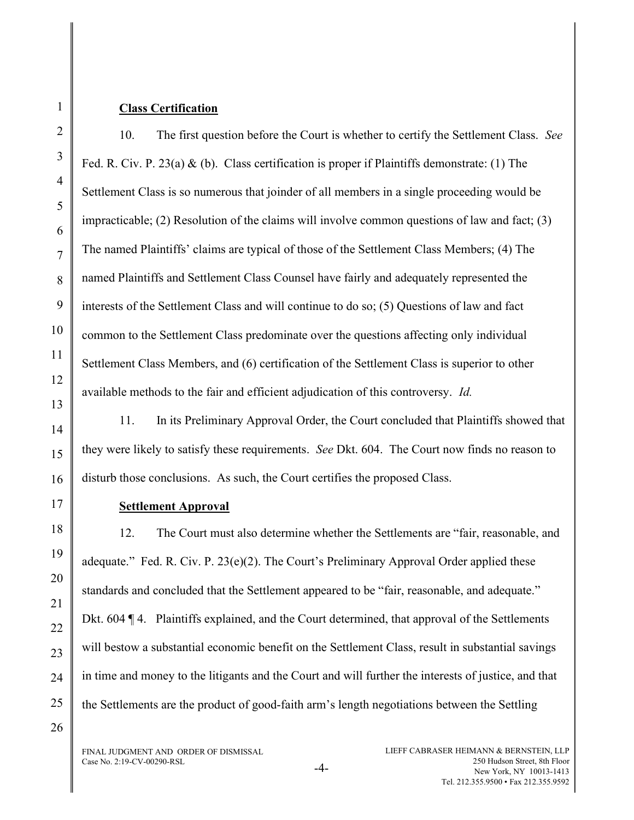## Class Certification

1

2

3

4

5

6

7

8

9

10

11

12

13

14

15

16

17

18

19

20

21

22

23

24

10. The first question before the Court is whether to certify the Settlement Class. See Fed. R. Civ. P. 23(a) & (b). Class certification is proper if Plaintiffs demonstrate: (1) The Settlement Class is so numerous that joinder of all members in a single proceeding would be impracticable; (2) Resolution of the claims will involve common questions of law and fact; (3) The named Plaintiffs' claims are typical of those of the Settlement Class Members; (4) The named Plaintiffs and Settlement Class Counsel have fairly and adequately represented the interests of the Settlement Class and will continue to do so; (5) Questions of law and fact common to the Settlement Class predominate over the questions affecting only individual Settlement Class Members, and (6) certification of the Settlement Class is superior to other available methods to the fair and efficient adjudication of this controversy. Id.

11. In its Preliminary Approval Order, the Court concluded that Plaintiffs showed that they were likely to satisfy these requirements. See Dkt. 604. The Court now finds no reason to disturb those conclusions. As such, the Court certifies the proposed Class.

## Settlement Approval

12. The Court must also determine whether the Settlements are "fair, reasonable, and adequate." Fed. R. Civ. P. 23(e)(2). The Court's Preliminary Approval Order applied these standards and concluded that the Settlement appeared to be "fair, reasonable, and adequate." Dkt. 604 ¶ 4. Plaintiffs explained, and the Court determined, that approval of the Settlements will bestow a substantial economic benefit on the Settlement Class, result in substantial savings in time and money to the litigants and the Court and will further the interests of justice, and that the Settlements are the product of good-faith arm's length negotiations between the Settling

26

25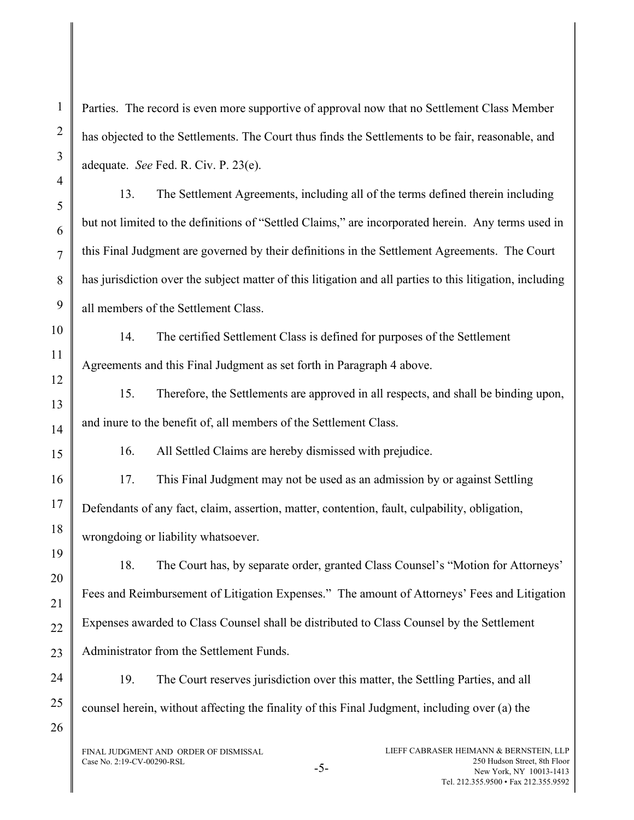Parties. The record is even more supportive of approval now that no Settlement Class Member has objected to the Settlements. The Court thus finds the Settlements to be fair, reasonable, and adequate. See Fed. R. Civ. P. 23(e).

13. The Settlement Agreements, including all of the terms defined therein including but not limited to the definitions of "Settled Claims," are incorporated herein. Any terms used in this Final Judgment are governed by their definitions in the Settlement Agreements. The Court has jurisdiction over the subject matter of this litigation and all parties to this litigation, including all members of the Settlement Class.

14. The certified Settlement Class is defined for purposes of the Settlement Agreements and this Final Judgment as set forth in Paragraph 4 above.

15. Therefore, the Settlements are approved in all respects, and shall be binding upon, and inure to the benefit of, all members of the Settlement Class.

16. All Settled Claims are hereby dismissed with prejudice.

17. This Final Judgment may not be used as an admission by or against Settling Defendants of any fact, claim, assertion, matter, contention, fault, culpability, obligation, wrongdoing or liability whatsoever.

18. The Court has, by separate order, granted Class Counsel's "Motion for Attorneys' Fees and Reimbursement of Litigation Expenses." The amount of Attorneys' Fees and Litigation Expenses awarded to Class Counsel shall be distributed to Class Counsel by the Settlement Administrator from the Settlement Funds.

19. The Court reserves jurisdiction over this matter, the Settling Parties, and all counsel herein, without affecting the finality of this Final Judgment, including over (a) the

FINAL JUDGMENT AND ORDER OF DISMISSAL  $Case No. 2:19-CV-00290-RSL$   $-5-$